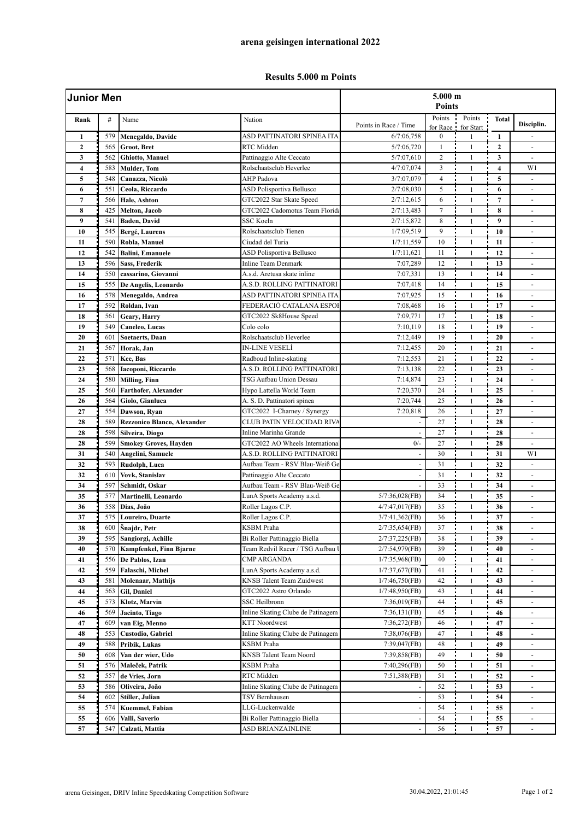## **Results 5.000 m Points**

| <b>Junior Men</b> |     |                                    |                                   | 5.000 m<br><b>Points</b> |                    |                     |                         |                          |  |
|-------------------|-----|------------------------------------|-----------------------------------|--------------------------|--------------------|---------------------|-------------------------|--------------------------|--|
| Rank              | #   | Name                               | Nation                            | Points in Race / Time    | Points<br>for Race | Points<br>for Start | <b>Total</b>            | Disciplin.               |  |
| $\mathbf{1}$      | 579 | Menegaldo, Davide                  | ASD PATTINATORI SPINEA ITA        | 6/7:06,758               | $\boldsymbol{0}$   | $\mathbf{1}$        | $\mathbf{1}$            |                          |  |
| $\overline{2}$    | 565 | Groot, Bret                        | RTC Midden                        | 5/7:06,720               | $\mathbf{1}$       | $\mathbf{1}$        | $\mathbf{2}$            | $\blacksquare$           |  |
| 3                 | 562 | Ghiotto, Manuel                    | Pattinaggio Alte Ceccato          | 5/7:07,610               | $\overline{c}$     | $\mathbf{1}$        | $\mathbf{3}$            | ÷,                       |  |
| 4                 | 583 | <b>Mulder</b> , Tom                | Rolschaatsclub Heverlee           | 4/7:07,074               | 3                  | $\mathbf{1}$        | $\overline{\mathbf{4}}$ | W1                       |  |
| 5                 | 548 | Canazza, Nicolò                    | <b>AHP</b> Padova                 | 3/7:07,079               | $\overline{4}$     | $\mathbf{1}$        | $\mathbf 5$             | $\blacksquare$           |  |
| 6                 | 551 | Ceola, Riccardo                    | <b>ASD Polisportiva Bellusco</b>  | 2/7:08,030               | 5                  | $\mathbf{1}$        | 6                       | $\sim$                   |  |
| $\overline{7}$    | 566 | Hale, Ashton                       | GTC2022 Star Skate Speed          | 2/7:12,615               | 6                  | $\mathbf{1}$        | $\overline{7}$          | ÷,                       |  |
| 8                 | 425 | Melton, Jacob                      | GTC2022 Cadomotus Team Florida    | 2/7:13,483               | $\overline{7}$     | $\mathbf{1}$        | 8                       | $\overline{a}$           |  |
| 9                 | 541 | Baden, David                       | SSC Koeln                         | 2/7:15,872               | 8                  | $\mathbf{1}$        | 9                       | $\overline{\phantom{a}}$ |  |
| 10                | 545 | Bergé, Laurens                     | Rolschaatsclub Tienen             | 1/7:09,519               | 9                  | $\mathbf{1}$        | 10                      | $\sim$                   |  |
| 11                | 590 | Robla, Manuel                      | Ciudad del Turia                  | 1/7:11,559               | 10                 | $\mathbf{1}$        | 11                      | $\overline{\phantom{a}}$ |  |
| 12                | 542 | <b>Balini</b> , Emanuele           | ASD Polisportiva Bellusco         | 1/7:11,621               | 11                 | $\mathbf{1}$        | 12                      | ÷,                       |  |
| 13                | 596 | Sass, Frederik                     | Inline Team Denmark               | 7:07,289                 | 12                 | $\mathbf{1}$        | 13                      | ÷,                       |  |
| 14                | 550 | cassarino, Giovanni                | A.s.d. Aretusa skate inline       | 7:07,331                 | 13                 | $\mathbf{1}$        | 14                      | $\sim$                   |  |
| 15                | 555 | De Angelis, Leonardo               | A.S.D. ROLLING PATTINATORI        | 7:07,418                 | 14                 | $\mathbf{1}$        | 15                      | ä,                       |  |
| 16                | 578 | Menegaldo, Andrea                  | ASD PATTINATORI SPINEA ITA        | 7:07,925                 | 15                 | $\mathbf{1}$        | 16                      | $\overline{\phantom{a}}$ |  |
| 17                | 592 | Roldan, Ivan                       | FEDERACIÓ CATALANA ESPOI          | 7:08,468                 | 16                 | $\mathbf{1}$        | 17                      |                          |  |
| 18                | 561 | Geary, Harry                       | GTC2022 Sk8House Speed            | 7:09,771                 | 17                 | $\mathbf{1}$        | 18                      | $\blacksquare$           |  |
| 19                | 549 | Caneleo, Lucas                     | Colo colo                         | 7:10,119                 | 18                 | $\mathbf{1}$        | 19                      | $\sim$                   |  |
| 20                | 601 | <b>Soetaerts, Daan</b>             | Rolschaatsclub Heverlee           | 7:12,449                 | 19                 | $\mathbf{1}$        | 20                      | $\omega$                 |  |
| 21                | 567 | Horak. Jan                         | <b>IN-LINE VESELÍ</b>             | 7:12,455                 | 20                 | $\mathbf{1}$        | 21                      | $\overline{\phantom{a}}$ |  |
| 22                | 571 | Kee, Bas                           | Radboud Inline-skating            | 7:12,553                 | 21                 | $\mathbf{1}$        | 22                      | ÷,                       |  |
| 23                | 568 | Iacoponi, Riccardo                 | A.S.D. ROLLING PATTINATORI        | 7:13,138                 | 22                 | $\mathbf{1}$        | 23                      | $\sim$                   |  |
| 24                | 580 | <b>Milling</b> , Finn              | TSG Aufbau Union Dessau           | 7:14,874                 | 23                 | $\mathbf{1}$        | 24                      | ÷,                       |  |
| 25                | 560 | Farthofer, Alexander               | Hypo Lattella World Team          | 7:20,370                 | 24                 | $\mathbf{1}$        | 25                      | $\blacksquare$           |  |
| 26                | 564 | Giolo, Gianluca                    | A. S. D. Pattinatori spinea       | 7:20,744                 | 25                 | $\mathbf{1}$        | 26                      | $\overline{\phantom{a}}$ |  |
| 27                | 554 | Dawson, Ryan                       | GTC2022 I-Charney / Synergy       | 7:20,818                 | 26                 | $\mathbf{1}$        | 27                      | $\sim$                   |  |
| 28                | 589 | <b>Rezzonico Blanco, Alexander</b> | CLUB PATIN VELOCIDAD RIVA         |                          | 27                 | $\mathbf{1}$        | 28                      | ÷,                       |  |
| 28                | 598 | Silveira, Diogo                    | Inline Marinha Grande             |                          | 27                 | $\mathbf{1}$        | 28                      | $\overline{a}$           |  |
| 28                | 599 | <b>Smokey Groves, Hayden</b>       | GTC2022 AO Wheels Internationa    | $0/-$                    | 27                 | $\mathbf{1}$        | 28                      | $\overline{\phantom{a}}$ |  |
| 31                | 540 | Angelini, Samuele                  | A.S.D. ROLLING PATTINATORI        |                          | 30                 | $\mathbf{1}$        | 31                      | W1                       |  |
| 32                | 593 | Rudolph, Luca                      | Aufbau Team - RSV Blau-Weiß Ge    |                          | 31                 | $\mathbf{1}$        | 32                      | $\overline{a}$           |  |
| 32                | 610 | Vovk, Stanislav                    | Pattinaggio Alte Ceccato          |                          | 31                 | $\mathbf{1}$        | 32                      | ÷,                       |  |
| 34                | 597 | Schmidt, Oskar                     | Aufbau Team - RSV Blau-Weiß Ge    |                          | 33                 | $\mathbf{1}$        | 34                      | $\blacksquare$           |  |
| 35                | 577 | Martinelli, Leonardo               | LunA Sports Academy a.s.d.        | $5/7:36,028$ (FB)        | 34                 | $\mathbf{1}$        | 35                      | $\blacksquare$           |  |
| 36                | 558 | Dias, João                         | Roller Lagos C.P.                 | 4/7:47,017(FB)           | 35                 | $\mathbf{1}$        | 36                      | $\overline{\phantom{a}}$ |  |
| 37                | 575 | <b>Loureiro</b> , Duarte           | Roller Lagos C.P.                 | 3/7:41,362(FB)           | 36                 | $\mathbf{1}$        | 37                      | $\overline{\phantom{a}}$ |  |
| 38                | 600 |                                    | KSBM Praha                        | 2/7:35,654(FB)           | 37                 | 1                   | 38                      | $\overline{\phantom{a}}$ |  |
| 39                | 595 | Snajdr, Petr<br>Sangiorgi, Achille | Bi Roller Pattinaggio Biella      | 2/7:37,225(FB)           | 38                 | $\mathbf{1}$        | 39                      |                          |  |
| 40                | 570 | Kampfenkel, Finn Bjarne            | Team Redvil Racer / TSG Aufbau    | 2/7:54,979(FB)           | 39                 | $\mathbf{1}$        | 40                      |                          |  |
| 41                | 556 | De Pablos, Izan                    | CMP ARGANDA                       | 1/7:35,968(FB)           | 40                 | $\mathbf{1}$        | 41                      | $\overline{\phantom{a}}$ |  |
| 42                | 559 | Falaschi, Michel                   | LunA Sports Academy a.s.d.        | 1/7:37,677(FB)           | 41                 | 1                   | 42                      | $\blacksquare$           |  |
| 43                | 581 | Molenaar, Mathijs                  | <b>KNSB Talent Team Zuidwest</b>  |                          | 42                 | 1                   | 43                      |                          |  |
| 44                | 563 | Gil, Daniel                        | GTC2022 Astro Orlando             | 1/7:46,750(FB)           | 43                 |                     | 44                      |                          |  |
| 45                | 573 |                                    |                                   | 1/7:48,950(FB)           | 44                 | 1<br>$\mathbf{1}$   | 45                      |                          |  |
|                   |     | Klotz, Marvin                      | SSC Heilbronn                     | 7:36,019(FB)             |                    |                     |                         |                          |  |
| 46                | 569 | Jacinto, Tiago                     | Inline Skating Clube de Patinagem | 7:36,131(FB)             | 45                 | 1                   | 46                      | $\blacksquare$           |  |
| 47                | 609 | van Eig, Menno                     | <b>KTT Noordwest</b>              | 7:36,272(FB)             | 46                 | 1                   | 47                      | $\overline{\phantom{a}}$ |  |
| 48                | 553 | Custodio, Gabriel                  | Inline Skating Clube de Patinagem | 7:38,076(FB)             | 47                 | 1                   | 48                      | $\overline{\phantom{a}}$ |  |
| 49                | 588 | Pribik, Lukas                      | KSBM Praha                        | 7:39,047(FB)             | 48                 | 1                   | 49                      | $\blacksquare$           |  |
| 50                | 608 | Van der wier, Udo                  | KNSB Talent Team Noord            | 7:39,858(FB)             | 49                 | $\mathbf{1}$        | 50                      |                          |  |
| 51                | 576 | Maleček, Patrik                    | KSBM Praha                        | 7:40,296(FB)             | 50                 | $\mathbf{1}$        | 51                      |                          |  |
| 52                | 557 | de Vries, Jorn                     | RTC Midden                        | 7:51,388(FB)             | 51                 | 1                   | 52                      | $\blacksquare$           |  |
| 53                | 586 | Oliveira, João                     | Inline Skating Clube de Patinagem |                          | 52                 | $\mathbf{1}$        | 53                      | $\overline{\phantom{a}}$ |  |
| 54                | 602 | Stiller, Julian                    | TSV Bernhausen                    |                          | 53                 | 1                   | 54                      | $\overline{\phantom{a}}$ |  |
| 55                | 574 | Kuemmel, Fabian                    | LLG-Luckenwalde                   |                          | 54                 | $\mathbf{1}$        | 55                      |                          |  |
| 55                | 606 | Valli, Saverio                     | Bi Roller Pattinaggio Biella      |                          | 54                 | $\mathbf{1}$        | 55                      |                          |  |
| 57                | 547 | Calzati, Mattia                    | ASD BRIANZAINLINE                 |                          | 56                 | 1                   | 57                      | $\overline{\phantom{a}}$ |  |